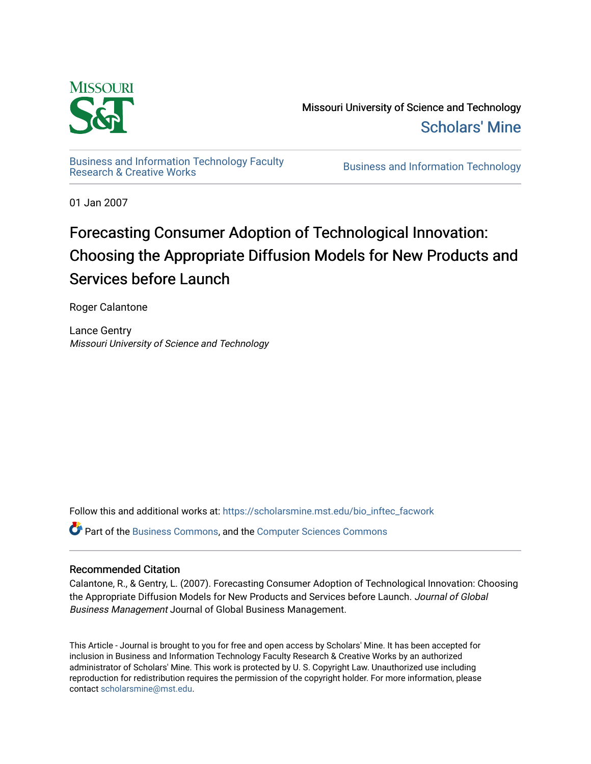

Missouri University of Science and Technology [Scholars' Mine](https://scholarsmine.mst.edu/) 

[Business and Information Technology Faculty](https://scholarsmine.mst.edu/bio_inftec_facwork)

**Business and Information Technology** 

01 Jan 2007

# Forecasting Consumer Adoption of Technological Innovation: Choosing the Appropriate Diffusion Models for New Products and Services before Launch

Roger Calantone

Lance Gentry Missouri University of Science and Technology

Follow this and additional works at: [https://scholarsmine.mst.edu/bio\\_inftec\\_facwork](https://scholarsmine.mst.edu/bio_inftec_facwork?utm_source=scholarsmine.mst.edu%2Fbio_inftec_facwork%2F130&utm_medium=PDF&utm_campaign=PDFCoverPages) 

**P** Part of the [Business Commons](http://network.bepress.com/hgg/discipline/622?utm_source=scholarsmine.mst.edu%2Fbio_inftec_facwork%2F130&utm_medium=PDF&utm_campaign=PDFCoverPages), and the Computer Sciences Commons

## Recommended Citation

Calantone, R., & Gentry, L. (2007). Forecasting Consumer Adoption of Technological Innovation: Choosing the Appropriate Diffusion Models for New Products and Services before Launch. Journal of Global Business Management Journal of Global Business Management.

This Article - Journal is brought to you for free and open access by Scholars' Mine. It has been accepted for inclusion in Business and Information Technology Faculty Research & Creative Works by an authorized administrator of Scholars' Mine. This work is protected by U. S. Copyright Law. Unauthorized use including reproduction for redistribution requires the permission of the copyright holder. For more information, please contact [scholarsmine@mst.edu](mailto:scholarsmine@mst.edu).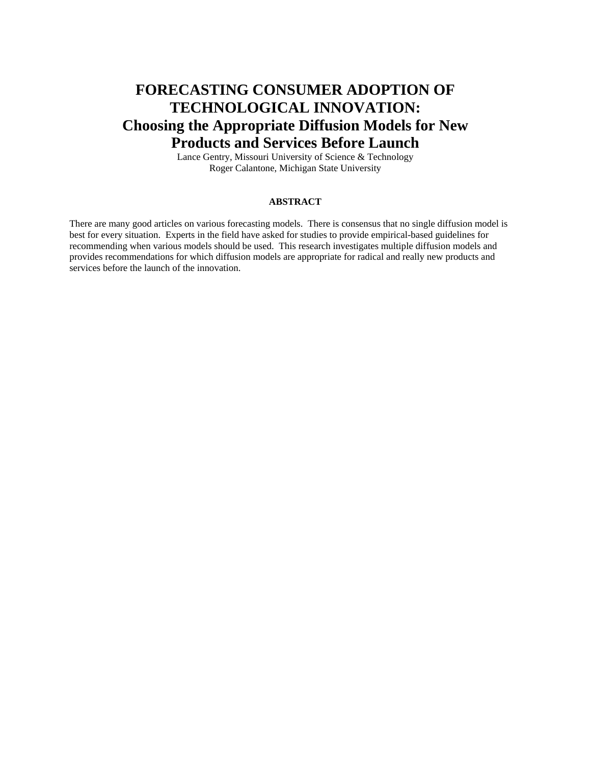## **FORECASTING CONSUMER ADOPTION OF TECHNOLOGICAL INNOVATION: Choosing the Appropriate Diffusion Models for New Products and Services Before Launch**

Lance Gentry, Missouri University of Science & Technology Roger Calantone, Michigan State University

## **ABSTRACT**

There are many good articles on various forecasting models. There is consensus that no single diffusion model is best for every situation. Experts in the field have asked for studies to provide empirical-based guidelines for recommending when various models should be used. This research investigates multiple diffusion models and provides recommendations for which diffusion models are appropriate for radical and really new products and services before the launch of the innovation.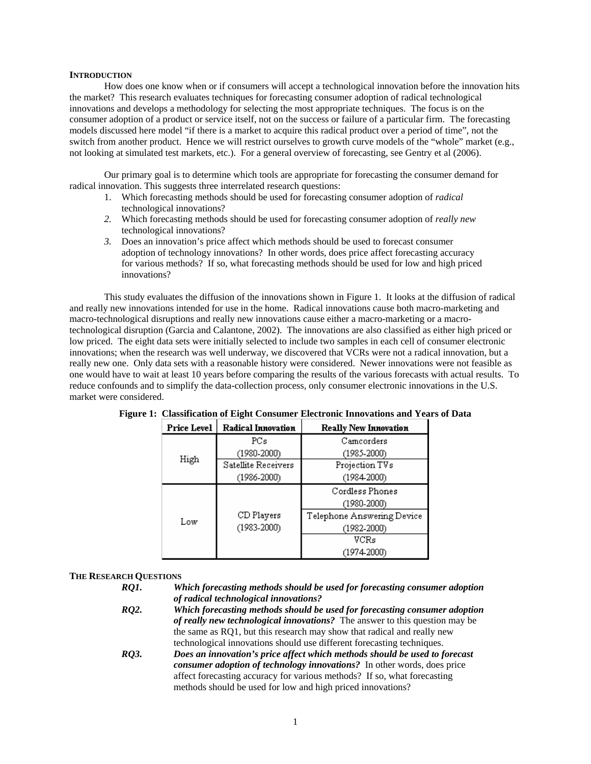#### **INTRODUCTION**

How does one know when or if consumers will accept a technological innovation before the innovation hits the market? This research evaluates techniques for forecasting consumer adoption of radical technological innovations and develops a methodology for selecting the most appropriate techniques. The focus is on the consumer adoption of a product or service itself, not on the success or failure of a particular firm. The forecasting models discussed here model "if there is a market to acquire this radical product over a period of time", not the switch from another product. Hence we will restrict ourselves to growth curve models of the "whole" market (e.g., not looking at simulated test markets, etc.). For a general overview of forecasting, see Gentry et al (2006).

Our primary goal is to determine which tools are appropriate for forecasting the consumer demand for radical innovation. This suggests three interrelated research questions:

- 1. Which forecasting methods should be used for forecasting consumer adoption of *radical* technological innovations?
- *2.* Which forecasting methods should be used for forecasting consumer adoption of *really new* technological innovations?
- *3.* Does an innovation's price affect which methods should be used to forecast consumer adoption of technology innovations? In other words, does price affect forecasting accuracy for various methods? If so, what forecasting methods should be used for low and high priced innovations?

This study evaluates the diffusion of the innovations shown in Figure 1. It looks at the diffusion of radical and really new innovations intended for use in the home. Radical innovations cause both macro-marketing and macro-technological disruptions and really new innovations cause either a macro-marketing or a macrotechnological disruption (Garcia and Calantone, 2002). The innovations are also classified as either high priced or low priced. The eight data sets were initially selected to include two samples in each cell of consumer electronic innovations; when the research was well underway, we discovered that VCRs were not a radical innovation, but a really new one. Only data sets with a reasonable history were considered. Newer innovations were not feasible as one would have to wait at least 10 years before comparing the results of the various forecasts with actual results. To reduce confounds and to simplify the data-collection process, only consumer electronic innovations in the U.S. market were considered.

| <b>Price Level</b> | Radical Innovation  | <b>Really New Innovation</b> |
|--------------------|---------------------|------------------------------|
|                    | PCs                 | Camcorders                   |
|                    | (1980-2000)         | (1985-2000)                  |
| High               | Satellite Receivers | Projection TVs               |
|                    | $(1986 - 2000)$     | $(1984-2000)$                |
|                    |                     | Cordless Phones              |
|                    |                     | (1980-2000)                  |
| Low                | CD Players          | Telephone Answering Device   |
|                    | $(1983 - 2000)$     | $(1982 - 2000)$              |
|                    |                     | VCRs                         |
|                    |                     | (1974-2000)                  |

| Figure 1: Classification of Eight Consumer Electronic Innovations and Years of Data |  |  |
|-------------------------------------------------------------------------------------|--|--|
|                                                                                     |  |  |

#### **THE RESEARCH QUESTIONS**

| RO1. | Which forecasting methods should be used for forecasting consumer adoption |
|------|----------------------------------------------------------------------------|
|      | of radical technological innovations?                                      |
| RO2. | Which forecasting methods should be used for forecasting consumer adoption |

- *of really new technological innovations?* The answer to this question may be the same as RQ1, but this research may show that radical and really new technological innovations should use different forecasting techniques. *RQ3. Does an innovation's price affect which methods should be used to forecast*
- *consumer adoption of technology innovations?* In other words, does price affect forecasting accuracy for various methods? If so, what forecasting methods should be used for low and high priced innovations?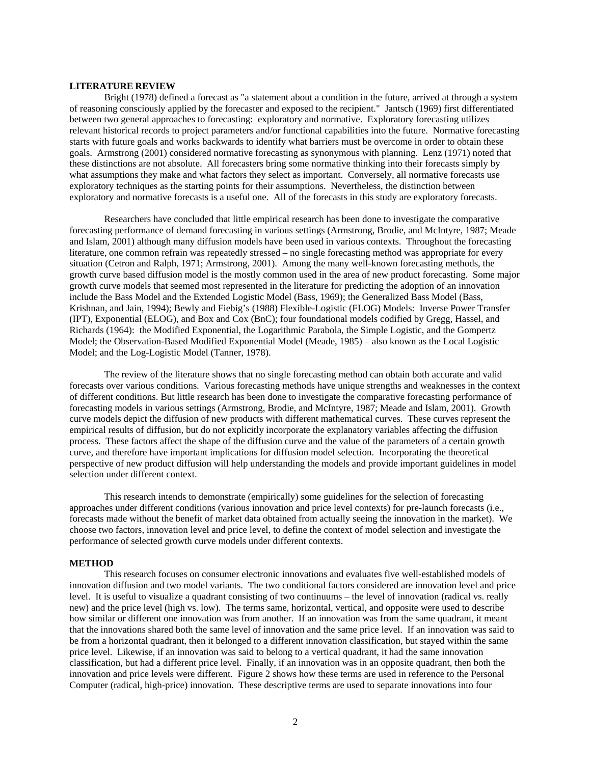#### **LITERATURE REVIEW**

Bright (1978) defined a forecast as "a statement about a condition in the future, arrived at through a system of reasoning consciously applied by the forecaster and exposed to the recipient." Jantsch (1969) first differentiated between two general approaches to forecasting: exploratory and normative. Exploratory forecasting utilizes relevant historical records to project parameters and/or functional capabilities into the future. Normative forecasting starts with future goals and works backwards to identify what barriers must be overcome in order to obtain these goals. Armstrong (2001) considered normative forecasting as synonymous with planning. Lenz (1971) noted that these distinctions are not absolute. All forecasters bring some normative thinking into their forecasts simply by what assumptions they make and what factors they select as important. Conversely, all normative forecasts use exploratory techniques as the starting points for their assumptions. Nevertheless, the distinction between exploratory and normative forecasts is a useful one. All of the forecasts in this study are exploratory forecasts.

Researchers have concluded that little empirical research has been done to investigate the comparative forecasting performance of demand forecasting in various settings (Armstrong, Brodie, and McIntyre, 1987; Meade and Islam, 2001) although many diffusion models have been used in various contexts. Throughout the forecasting literature, one common refrain was repeatedly stressed – no single forecasting method was appropriate for every situation (Cetron and Ralph, 1971; Armstrong, 2001). Among the many well-known forecasting methods, the growth curve based diffusion model is the mostly common used in the area of new product forecasting. Some major growth curve models that seemed most represented in the literature for predicting the adoption of an innovation include the Bass Model and the Extended Logistic Model (Bass, 1969); the Generalized Bass Model (Bass, Krishnan, and Jain, 1994); Bewly and Fiebig's (1988) Flexible-Logistic (FLOG) Models: Inverse Power Transfer (IPT), Exponential (ELOG), and Box and Cox (BnC); four foundational models codified by Gregg, Hassel, and Richards (1964): the Modified Exponential, the Logarithmic Parabola, the Simple Logistic, and the Gompertz Model; the Observation-Based Modified Exponential Model (Meade, 1985) – also known as the Local Logistic Model; and the Log-Logistic Model (Tanner, 1978).

The review of the literature shows that no single forecasting method can obtain both accurate and valid forecasts over various conditions. Various forecasting methods have unique strengths and weaknesses in the context of different conditions. But little research has been done to investigate the comparative forecasting performance of forecasting models in various settings (Armstrong, Brodie, and McIntyre, 1987; Meade and Islam, 2001). Growth curve models depict the diffusion of new products with different mathematical curves. These curves represent the empirical results of diffusion, but do not explicitly incorporate the explanatory variables affecting the diffusion process. These factors affect the shape of the diffusion curve and the value of the parameters of a certain growth curve, and therefore have important implications for diffusion model selection. Incorporating the theoretical perspective of new product diffusion will help understanding the models and provide important guidelines in model selection under different context.

This research intends to demonstrate (empirically) some guidelines for the selection of forecasting approaches under different conditions (various innovation and price level contexts) for pre-launch forecasts (i.e., forecasts made without the benefit of market data obtained from actually seeing the innovation in the market). We choose two factors, innovation level and price level, to define the context of model selection and investigate the performance of selected growth curve models under different contexts.

#### **METHOD**

This research focuses on consumer electronic innovations and evaluates five well-established models of innovation diffusion and two model variants. The two conditional factors considered are innovation level and price level. It is useful to visualize a quadrant consisting of two continuums – the level of innovation (radical vs. really new) and the price level (high vs. low). The terms same, horizontal, vertical, and opposite were used to describe how similar or different one innovation was from another. If an innovation was from the same quadrant, it meant that the innovations shared both the same level of innovation and the same price level. If an innovation was said to be from a horizontal quadrant, then it belonged to a different innovation classification, but stayed within the same price level. Likewise, if an innovation was said to belong to a vertical quadrant, it had the same innovation classification, but had a different price level. Finally, if an innovation was in an opposite quadrant, then both the innovation and price levels were different. Figure 2 shows how these terms are used in reference to the Personal Computer (radical, high-price) innovation. These descriptive terms are used to separate innovations into four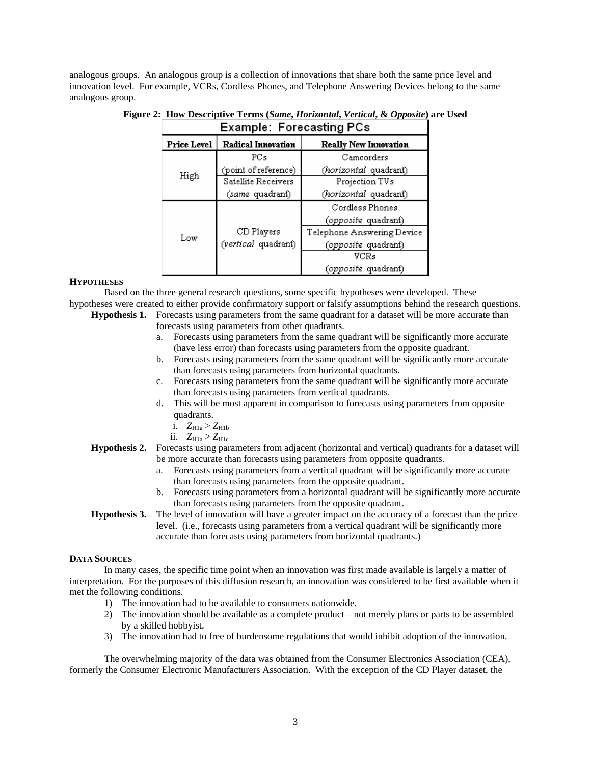analogous groups. An analogous group is a collection of innovations that share both the same price level and innovation level. For example, VCRs, Cordless Phones, and Telephone Answering Devices belong to the same analogous group.

|             | Example: Forecasting PCs |                              |
|-------------|--------------------------|------------------------------|
| Price Level | Radical Innovation       | <b>Really New Innovation</b> |
|             | PCs                      | Camcorders                   |
|             | (point of reference)     | (horizontal quadrant)        |
| High        | Satellite Receivers      | Projection TVs               |
|             | (same quadrant)          | (horizontal quadrant)        |
|             |                          | Cordless Phones              |
|             |                          | <i>(opposite</i> quadrant)   |
| Low         | CD Players               | Telephone Answering Device   |
|             | (vertical quadrant)      | (opposite quadrant)          |
|             |                          | VCRs                         |
|             |                          | <i>(opposite q</i> uadrant)  |

## **Figure 2: How Descriptive Terms (***Same***,** *Horizontal***,** *Vertical***, &** *Opposite***) are Used**

### **HYPOTHESES**

Based on the three general research questions, some specific hypotheses were developed. These hypotheses were created to either provide confirmatory support or falsify assumptions behind the research questions.

- **Hypothesis 1.** Forecasts using parameters from the same quadrant for a dataset will be more accurate than
	- forecasts using parameters from other quadrants.
	- a. Forecasts using parameters from the same quadrant will be significantly more accurate (have less error) than forecasts using parameters from the opposite quadrant.
	- b. Forecasts using parameters from the same quadrant will be significantly more accurate than forecasts using parameters from horizontal quadrants.
	- c. Forecasts using parameters from the same quadrant will be significantly more accurate than forecasts using parameters from vertical quadrants.
	- d. This will be most apparent in comparison to forecasts using parameters from opposite quadrants.
		- i.  $Z_{H1a} > Z_{H1b}$
		- ii.  $Z_{\text{H1a}} > Z_{\text{H1c}}$
- **Hypothesis 2.** Forecasts using parameters from adjacent (horizontal and vertical) quadrants for a dataset will be more accurate than forecasts using parameters from opposite quadrants.
	- a. Forecasts using parameters from a vertical quadrant will be significantly more accurate than forecasts using parameters from the opposite quadrant.
	- b. Forecasts using parameters from a horizontal quadrant will be significantly more accurate than forecasts using parameters from the opposite quadrant.
- **Hypothesis 3.** The level of innovation will have a greater impact on the accuracy of a forecast than the price level. (i.e., forecasts using parameters from a vertical quadrant will be significantly more accurate than forecasts using parameters from horizontal quadrants.)

#### **DATA SOURCES**

In many cases, the specific time point when an innovation was first made available is largely a matter of interpretation. For the purposes of this diffusion research, an innovation was considered to be first available when it met the following conditions.

- 1) The innovation had to be available to consumers nationwide.
- 2) The innovation should be available as a complete product not merely plans or parts to be assembled by a skilled hobbyist.
- 3) The innovation had to free of burdensome regulations that would inhibit adoption of the innovation.

The overwhelming majority of the data was obtained from the Consumer Electronics Association (CEA), formerly the Consumer Electronic Manufacturers Association. With the exception of the CD Player dataset, the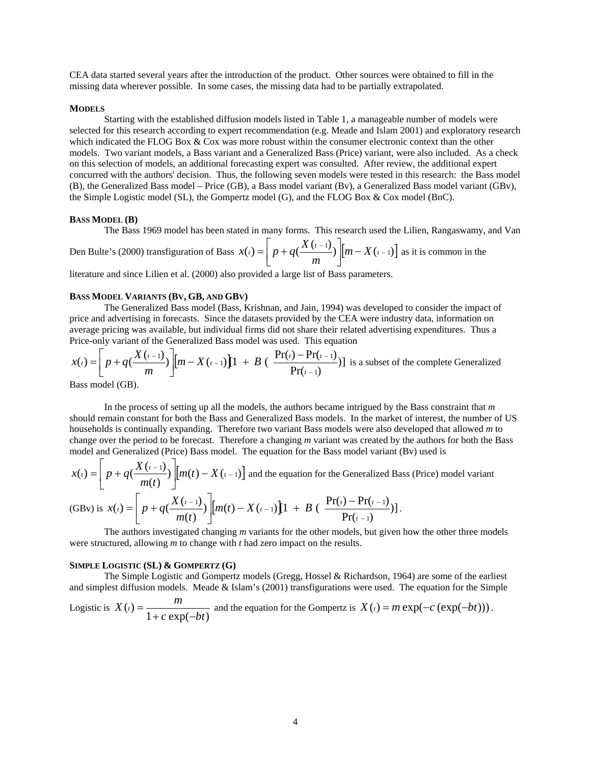CEA data started several years after the introduction of the product. Other sources were obtained to fill in the missing data wherever possible. In some cases, the missing data had to be partially extrapolated.

#### **MODELS**

Starting with the established diffusion models listed in Table 1, a manageable number of models were selected for this research according to expert recommendation (e.g. Meade and Islam 2001) and exploratory research which indicated the FLOG Box & Cox was more robust within the consumer electronic context than the other models. Two variant models, a Bass variant and a Generalized Bass (Price) variant, were also included. As a check on this selection of models, an additional forecasting expert was consulted. After review, the additional expert concurred with the authors' decision. Thus, the following seven models were tested in this research: the Bass model (B), the Generalized Bass model – Price (GB), a Bass model variant (Bv), a Generalized Bass model variant (GBv), the Simple Logistic model (SL), the Gompertz model (G), and the FLOG Box & Cox model (BnC).

#### **BASS MODEL (B)**

The Bass 1969 model has been stated in many forms. This research used the Lilien, Rangaswamy, and Van

Den Bulte's (2000) transfiguration of Bass  $x(t) = \left[ p + q(\frac{X(t-1)}{m}) \right] [m - X(t-1)]$  $f(t) = \frac{1}{p} + q\left(\frac{X(t-1)}{p}\right) \left[\frac{m - X(t)}{p}\right]$ *m*  $X(t) = \left[ p + q \left( \frac{X(t-1)}{p} \right) \right] \left[ m - X(t-1) \right]$  as it is common in the

literature and since Lilien et al. (2000) also provided a large list of Bass parameters.

#### **BASS MODEL VARIANTS (BV, GB, AND GBV)**

The Generalized Bass model (Bass, Krishnan, and Jain, 1994) was developed to consider the impact of price and advertising in forecasts. Since the datasets provided by the CEA were industry data, information on average pricing was available, but individual firms did not share their related advertising expenditures. Thus a Price-only variant of the Generalized Bass model was used. This equation

$$
x(t) = \left[p + q\left(\frac{X(t-1)}{m}\right)\right][m - X(t-1)]\left[1 + B\left(\frac{Pr(t) - Pr(t-1)}{Pr(t-1)}\right)\right]
$$
 is a subset of the complete Generalized

Bass model (GB).

In the process of setting up all the models, the authors became intrigued by the Bass constraint that *m* should remain constant for both the Bass and Generalized Bass models. In the market of interest, the number of US households is continually expanding. Therefore two variant Bass models were also developed that allowed *m* to change over the period to be forecast. Therefore a changing *m* variant was created by the authors for both the Bass model and Generalized (Price) Bass model. The equation for the Bass model variant (Bv) used is

$$
x(t) = \left[ p + q\left(\frac{X(t-1)}{m(t)}\right) \right] \left[ m(t) - X(t-1) \right]
$$
 and the equation for the Generalized Bass (Price) model variant

(GBv) is 
$$
x(t) = \left[ p + q\left(\frac{X(t-1)}{m(t)}\right) \left[ m(t) - X(t-1) \right] \left[ 1 + B\left(\frac{Pr(t) - Pr(t-1)}{Pr(t-1)}\right) \right].
$$

The authors investigated changing *m* variants for the other models, but given how the other three models were structured, allowing *m* to change with *t* had zero impact on the results.

#### **SIMPLE LOGISTIC (SL) & GOMPERTZ (G)**

The Simple Logistic and Gompertz models (Gregg, Hossel & Richardson, 1964) are some of the earliest and simplest diffusion models. Meade & Islam's (2001) transfigurations were used. The equation for the Simple

Logistic is 
$$
X(t) = \frac{m}{1 + c \exp(-bt)}
$$
 and the equation for the Gompertz is  $X(t) = m \exp(-c (\exp(-bt)))$ .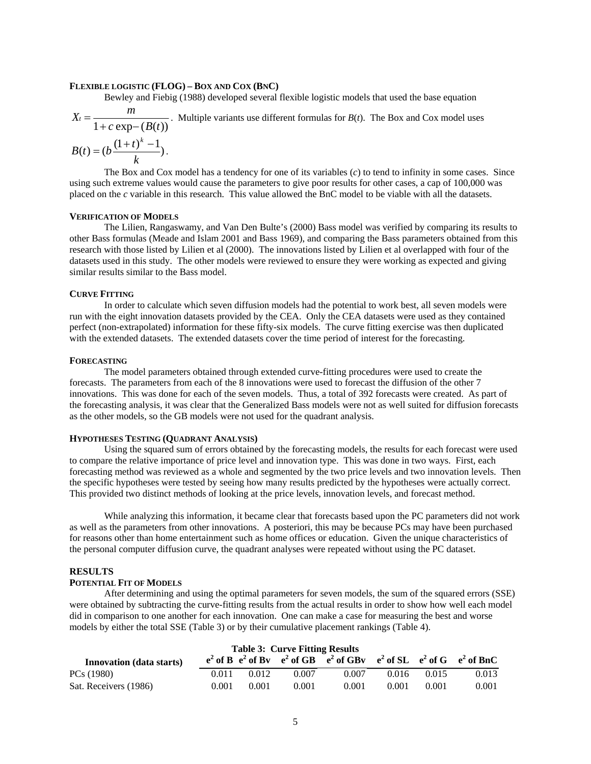#### **FLEXIBLE LOGISTIC (FLOG) – BOX AND COX (BNC)**

Bewley and Fiebig (1988) developed several flexible logistic models that used the base equation

$$
X_t = \frac{m}{1 + c \exp(-\left(B(t)\right))}
$$
. Multiple variants use different formulas for *B(t)*. The Box and Cox model uses

$$
B(t) = (b \frac{(1+t)^k - 1}{k}).
$$

The Box and Cox model has a tendency for one of its variables (*c*) to tend to infinity in some cases. Since using such extreme values would cause the parameters to give poor results for other cases, a cap of 100,000 was placed on the *c* variable in this research. This value allowed the BnC model to be viable with all the datasets.

#### **VERIFICATION OF MODELS**

The Lilien, Rangaswamy, and Van Den Bulte's (2000) Bass model was verified by comparing its results to other Bass formulas (Meade and Islam 2001 and Bass 1969), and comparing the Bass parameters obtained from this research with those listed by Lilien et al (2000). The innovations listed by Lilien et al overlapped with four of the datasets used in this study. The other models were reviewed to ensure they were working as expected and giving similar results similar to the Bass model.

#### **CURVE FITTING**

In order to calculate which seven diffusion models had the potential to work best, all seven models were run with the eight innovation datasets provided by the CEA. Only the CEA datasets were used as they contained perfect (non-extrapolated) information for these fifty-six models. The curve fitting exercise was then duplicated with the extended datasets. The extended datasets cover the time period of interest for the forecasting.

#### **FORECASTING**

The model parameters obtained through extended curve-fitting procedures were used to create the forecasts. The parameters from each of the 8 innovations were used to forecast the diffusion of the other 7 innovations. This was done for each of the seven models. Thus, a total of 392 forecasts were created. As part of the forecasting analysis, it was clear that the Generalized Bass models were not as well suited for diffusion forecasts as the other models, so the GB models were not used for the quadrant analysis.

#### **HYPOTHESES TESTING (QUADRANT ANALYSIS)**

Using the squared sum of errors obtained by the forecasting models, the results for each forecast were used to compare the relative importance of price level and innovation type. This was done in two ways. First, each forecasting method was reviewed as a whole and segmented by the two price levels and two innovation levels. Then the specific hypotheses were tested by seeing how many results predicted by the hypotheses were actually correct. This provided two distinct methods of looking at the price levels, innovation levels, and forecast method.

While analyzing this information, it became clear that forecasts based upon the PC parameters did not work as well as the parameters from other innovations. A posteriori, this may be because PCs may have been purchased for reasons other than home entertainment such as home offices or education. Given the unique characteristics of the personal computer diffusion curve, the quadrant analyses were repeated without using the PC dataset.

#### **RESULTS**

#### **POTENTIAL FIT OF MODELS**

After determining and using the optimal parameters for seven models, the sum of the squared errors (SSE) were obtained by subtracting the curve-fitting results from the actual results in order to show how well each model did in comparison to one another for each innovation. One can make a case for measuring the best and worse models by either the total SSE (Table 3) or by their cumulative placement rankings (Table 4).

|                                 |       |       | <b>Table 3: Curve Fitting Results</b> |                                                                                     |       |       |       |
|---------------------------------|-------|-------|---------------------------------------|-------------------------------------------------------------------------------------|-------|-------|-------|
| <b>Innovation</b> (data starts) |       |       |                                       | $e^2$ of B $e^2$ of By $e^2$ of GB $e^2$ of GBy $e^2$ of SL $e^2$ of G $e^2$ of BnC |       |       |       |
| PCs (1980)                      | 0.011 | 0.012 | 0.007                                 | 0.007                                                                               | 0.016 | 0.015 | 0.013 |
| Sat. Receivers (1986)           | 0.001 | 0.001 | 0.001                                 | 0.001                                                                               | 0.001 | 0.001 | 0.001 |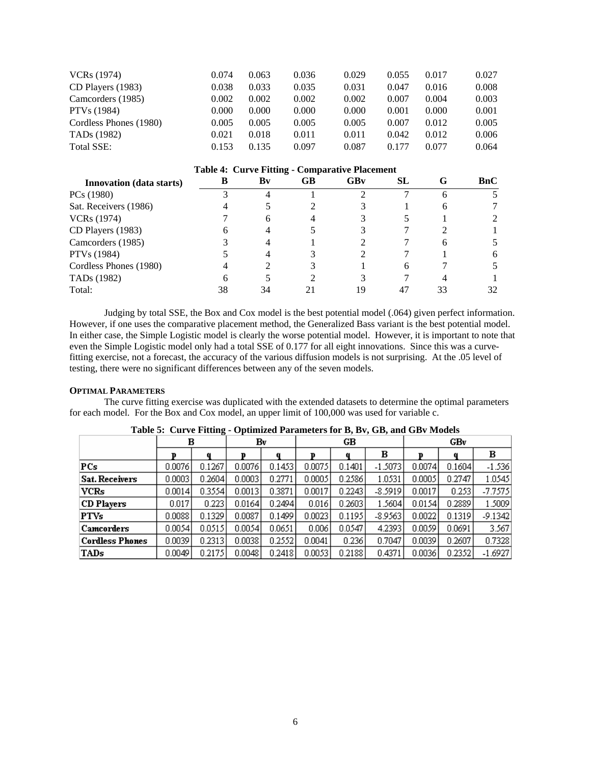| VCRs (1974)             | 0.074 | 0.063 | 0.036 | 0.029 | 0.055 | 0.017 | 0.027 |
|-------------------------|-------|-------|-------|-------|-------|-------|-------|
| CD Players (1983)       | 0.038 | 0.033 | 0.035 | 0.031 | 0.047 | 0.016 | 0.008 |
| Camcorders (1985)       | 0.002 | 0.002 | 0.002 | 0.002 | 0.007 | 0.004 | 0.003 |
| PTVs (1984)             | 0.000 | 0.000 | 0.000 | 0.000 | 0.001 | 0.000 | 0.001 |
| Cordless Phones (1980)  | 0.005 | 0.005 | 0.005 | 0.005 | 0.007 | 0.012 | 0.005 |
| TAD <sub>s</sub> (1982) | 0.021 | 0.018 | 0.011 | 0.011 | 0.042 | 0.012 | 0.006 |
| Total SSE:              | 0.153 | 0.135 | 0.097 | 0.087 | 0.177 | 0.077 | 0.064 |

## **Table 4: Curve Fitting - Comparative Placement**

| <b>Innovation</b> (data starts) | В  | Bv | GB | GBv | <b>SL</b> | G  | BnC |
|---------------------------------|----|----|----|-----|-----------|----|-----|
| PCs (1980)                      |    |    |    |     |           |    |     |
| Sat. Receivers (1986)           |    |    |    |     |           |    |     |
| <b>VCRs</b> (1974)              |    | 6  |    |     |           |    |     |
| CD Players (1983)               |    | 4  |    |     |           |    |     |
| Camcorders (1985)               |    |    |    |     |           |    |     |
| PTVs (1984)                     |    |    |    |     |           |    | 6   |
| Cordless Phones (1980)          |    |    |    |     | 6         |    |     |
| TAD <sub>s</sub> (1982)         | h  |    |    |     |           |    |     |
| Total:                          | 38 | 34 |    | 19  | 47        | 33 | 32  |

Judging by total SSE, the Box and Cox model is the best potential model (.064) given perfect information. However, if one uses the comparative placement method, the Generalized Bass variant is the best potential model. In either case, the Simple Logistic model is clearly the worse potential model. However, it is important to note that even the Simple Logistic model only had a total SSE of 0.177 for all eight innovations. Since this was a curvefitting exercise, not a forecast, the accuracy of the various diffusion models is not surprising. At the .05 level of testing, there were no significant differences between any of the seven models.

#### **OPTIMAL PARAMETERS**

The curve fitting exercise was duplicated with the extended datasets to determine the optimal parameters for each model. For the Box and Cox model, an upper limit of 100,000 was used for variable c.

|                        | в      |        | Bv     |        | GВ<br>GBv |        |           |        |        |           |  |
|------------------------|--------|--------|--------|--------|-----------|--------|-----------|--------|--------|-----------|--|
|                        | D      | a      | D      | a      | D         |        | в         |        |        | в         |  |
| PCs                    | 0.0076 | 0.1267 | 0.0076 | 0.1453 | 0.0075    | 0.1401 | $-1.5073$ | 0.0074 | 0.1604 | $-1.536$  |  |
| <b>Sat. Receivers</b>  | 0.0003 | 0.2604 | 0.0003 | 0.2771 | 0.0005    | 0.2586 | 1.0531    | 0.0005 | 0.2747 | 1.0545    |  |
| VCRs                   | 0.0014 | 0.3554 | 0.0013 | 0.3871 | 0.0017    | 0.2243 | $-8.5919$ | 0.0017 | 0.253  | $-7.7575$ |  |
| CD Players             | 0.017  | 0.223  | 0.0164 | 0.2494 | 0.016     | 0.2603 | 1.5604    | 0.0154 | 0.2889 | 1.5009    |  |
| <b>PTVs</b>            | 0.0088 | 0.1329 | 0.0087 | 0.1499 | 0.0023    | 0.1195 | $-8.9563$ | 0.0022 | 0.1319 | $-9.1342$ |  |
| Camcorders             | 0.0054 | 0.0515 | 0.0054 | 0.0651 | 0.006     | 0.0547 | 4.2393    | 0.0059 | 0.0691 | 3.567     |  |
| <b>Cordless Phones</b> | 0.0039 | 0.2313 | 0.0038 | 0.2552 | 0.0041    | 0.236  | 0.7047    | 0.0039 | 0.2607 | 0.7328    |  |
| TADs                   | 0.0049 | 0.2175 | 0.0048 | 0.2418 | 0.0053    | 0.2188 | 0.4371    | 0.0036 | 0.2352 | $-1.6927$ |  |

**Table 5: Curve Fitting - Optimized Parameters for B, Bv, GB, and GBv Models**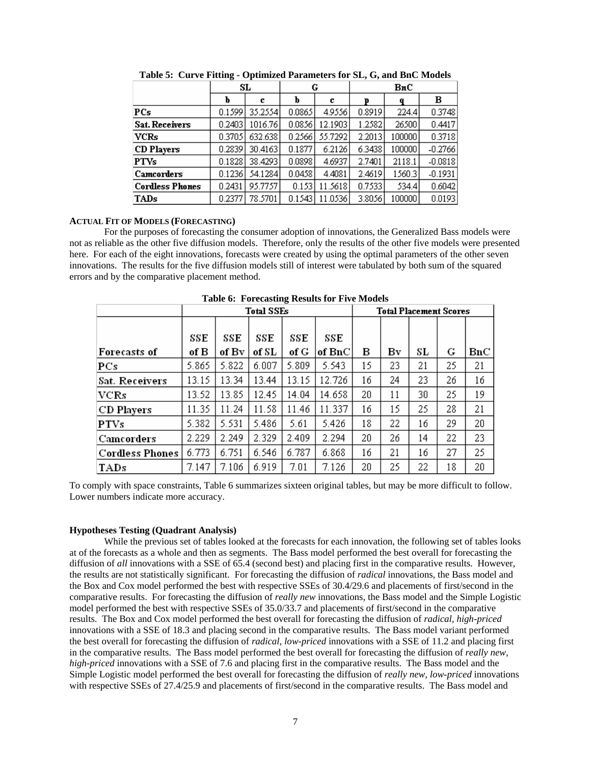|                        |         | SL      |        | G       | BnC    |        |           |  |
|------------------------|---------|---------|--------|---------|--------|--------|-----------|--|
|                        | b       | С       | ь      | c       | D      | q      | в         |  |
| PCs                    | 0.15991 | 35.2554 | 0.0865 | 4.9556  | 0.8919 | 224.4  | 0.3748    |  |
| <b>Sat. Receivers</b>  | 0.2403  | 1016.76 | 0.0856 | 12.1903 | 1.2582 | 26500  | 0.4417    |  |
| VCRs                   | 0.37051 | 632.638 | 0.2566 | 55.7292 | 2.2013 | 100000 | 0.3718    |  |
| <b>CD</b> Players      | 0.28391 | 30.4163 | 0.1877 | 6.2126  | 6.3438 | 100000 | $-0.2766$ |  |
| <b>PTVs</b>            | 0.1828  | 38.4293 | 0.0898 | 4.6937  | 2.7401 | 2118.1 | $-0.0818$ |  |
| Camcorders             | 0.1236  | 54.1284 | 0.0458 | 4.4081  | 2.4619 | 1560.3 | $-0.1931$ |  |
| <b>Cordless Phones</b> | 0.2431  | 95.7757 | 0.153  | 11.5618 | 0.7533 | 534.4  | 0.6042    |  |
| TADs                   | 0.2377  | 78.5701 | 0.1543 | 11.0536 | 3.8056 | 100000 | 0.0193    |  |

**Table 5: Curve Fitting - Optimized Parameters for SL, G, and BnC Models** 

#### **ACTUAL FIT OF MODELS (FORECASTING)**

For the purposes of forecasting the consumer adoption of innovations, the Generalized Bass models were not as reliable as the other five diffusion models. Therefore, only the results of the other five models were presented here. For each of the eight innovations, forecasts were created by using the optimal parameters of the other seven innovations. The results for the five diffusion models still of interest were tabulated by both sum of the squared errors and by the comparative placement method.

|                        | Tuble of Torceabling Rebuild for The Models |       |                   |       |        |    |                               |     |    |     |
|------------------------|---------------------------------------------|-------|-------------------|-------|--------|----|-------------------------------|-----|----|-----|
|                        |                                             |       | <b>Total SSEs</b> |       |        |    | <b>Total Placement Scores</b> |     |    |     |
|                        |                                             |       |                   |       |        |    |                               |     |    |     |
|                        | SSE                                         | SSE   | SSE               | SSE   | SSE    |    |                               |     |    |     |
| <b>Forecasts of</b>    | of B                                        | of Bv | of SL             | of G  | of BnC | в  | Βv                            | SL  | G  | BnC |
| PCs                    | 5.865                                       | 5.822 | 6.007             | 5.809 | 5.543  | 15 | 23                            | 21  | 25 | 21  |
| Sat. Receivers         | 13.15                                       | 13.34 | 13.44             | 13.15 | 12.726 | 16 | 24                            | 23. | 26 | 16  |
| <b>VCRs</b>            | 13.52                                       | 13.85 | 12.45             | 14.04 | 14.658 | 20 | 11                            | 30. | 25 | 19  |
| <b>CD</b> Players      | 11.35                                       | 11.24 | 11.58             | 11.46 | 11.337 | 16 | 15                            | 25  | 28 | 21  |
| <b>PTVs</b>            | 5.382                                       | 5.531 | 5.486             | 5.61  | 5.426  | 18 | 22                            | 16  | 29 | 20  |
| Camcorders             | 2.229                                       | 2.249 | 2.329             | 2.409 | 2.294  | 20 | 26                            | 14  | 22 | 23  |
| <b>Cordless Phones</b> | 6.773                                       | 6.751 | 6.546             | 6.787 | 6.868  | 16 | 21                            | 16  | 27 | 25  |
| <b>TADs</b>            | 7.147                                       | 7.106 | 6.919             | 7.01  | 7.126  | 20 | 25                            | 22  | 18 | 20  |

**Table 6: Forecasting Results for Five Models** 

To comply with space constraints, Table 6 summarizes sixteen original tables, but may be more difficult to follow. Lower numbers indicate more accuracy.

#### **Hypotheses Testing (Quadrant Analysis)**

While the previous set of tables looked at the forecasts for each innovation, the following set of tables looks at of the forecasts as a whole and then as segments. The Bass model performed the best overall for forecasting the diffusion of *all* innovations with a SSE of 65.4 (second best) and placing first in the comparative results. However, the results are not statistically significant. For forecasting the diffusion of *radical* innovations, the Bass model and the Box and Cox model performed the best with respective SSEs of 30.4/29.6 and placements of first/second in the comparative results. For forecasting the diffusion of *really new* innovations, the Bass model and the Simple Logistic model performed the best with respective SSEs of 35.0/33.7 and placements of first/second in the comparative results. The Box and Cox model performed the best overall for forecasting the diffusion of *radical, high-priced* innovations with a SSE of 18.3 and placing second in the comparative results. The Bass model variant performed the best overall for forecasting the diffusion of *radical, low-priced* innovations with a SSE of 11.2 and placing first in the comparative results. The Bass model performed the best overall for forecasting the diffusion of *really new, high-priced* innovations with a SSE of 7.6 and placing first in the comparative results. The Bass model and the Simple Logistic model performed the best overall for forecasting the diffusion of *really new, low-priced* innovations with respective SSEs of 27.4/25.9 and placements of first/second in the comparative results. The Bass model and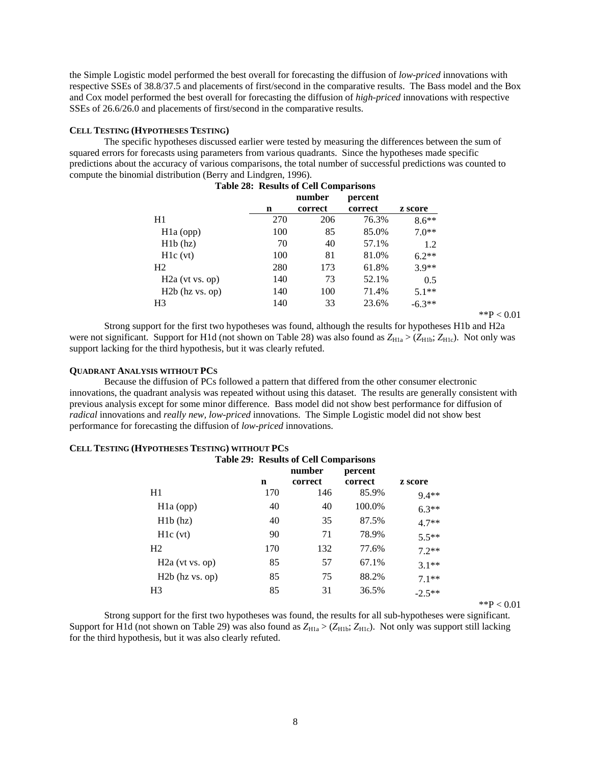the Simple Logistic model performed the best overall for forecasting the diffusion of *low-priced* innovations with respective SSEs of 38.8/37.5 and placements of first/second in the comparative results. The Bass model and the Box and Cox model performed the best overall for forecasting the diffusion of *high-priced* innovations with respective SSEs of 26.6/26.0 and placements of first/second in the comparative results.

## **CELL TESTING (HYPOTHESES TESTING)**

The specific hypotheses discussed earlier were tested by measuring the differences between the sum of squared errors for forecasts using parameters from various quadrants. Since the hypotheses made specific predictions about the accuracy of various comparisons, the total number of successful predictions was counted to compute the binomial distribution (Berry and Lindgren, 1996).

|                   |     | <b>Table 28: Results of Cell Comparisons</b> |         |          |
|-------------------|-----|----------------------------------------------|---------|----------|
|                   |     | number                                       | percent |          |
|                   | n   | correct                                      | correct | z score  |
| H1                | 270 | 206                                          | 76.3%   | $8.6**$  |
| $H1a$ (opp)       | 100 | 85                                           | 85.0%   | $7.0**$  |
| H1b(hz)           | 70  | 40                                           | 57.1%   | 1.2      |
| H1c(vt)           | 100 | 81                                           | 81.0%   | $6.2**$  |
| H <sub>2</sub>    | 280 | 173                                          | 61.8%   | $3.9**$  |
| $H2a$ (vt vs. op) | 140 | 73                                           | 52.1%   | 0.5      |
| $H2b$ (hz vs. op) | 140 | 100                                          | 71.4%   | $5.1**$  |
| H <sub>3</sub>    | 140 | 33                                           | 23.6%   | $-6.3**$ |

| 1<br>гэ<br>) () |
|-----------------|
|-----------------|

Strong support for the first two hypotheses was found, although the results for hypotheses H1b and H2a were not significant. Support for H1d (not shown on Table 28) was also found as  $Z_{H1a}$  > ( $Z_{H1b}$ ;  $Z_{H1c}$ ). Not only was support lacking for the third hypothesis, but it was clearly refuted.

#### **QUADRANT ANALYSIS WITHOUT PCS**

**CELL TESTING (HYPOTHESES TESTING) WITHOUT PCS**

Because the diffusion of PCs followed a pattern that differed from the other consumer electronic innovations, the quadrant analysis was repeated without using this dataset. The results are generally consistent with previous analysis except for some minor difference. Bass model did not show best performance for diffusion of *radical* innovations and *really new, low-priced* innovations. The Simple Logistic model did not show best performance for forecasting the diffusion of *low-priced* innovations.

|                   | <b>Table 29: Results of Cell Comparisons</b> |         |         |          |
|-------------------|----------------------------------------------|---------|---------|----------|
|                   | number                                       |         | percent |          |
|                   | n                                            | correct | correct | z score  |
| H1                | 170                                          | 146     | 85.9%   | $9.4**$  |
| $H1a$ (opp)       | 40                                           | 40      | 100.0%  | $6.3**$  |
| H1b(hz)           | 40                                           | 35      | 87.5%   | $4.7**$  |
| H1c(vt)           | 90                                           | 71      | 78.9%   | $5.5**$  |
| H <sub>2</sub>    | 170                                          | 132     | 77.6%   | $72**$   |
| $H2a$ (vt vs. op) | 85                                           | 57      | 67.1%   | $3.1**$  |
| $H2b$ (hz vs. op) | 85                                           | 75      | 88.2%   | $7.1**$  |
| H3                | 85                                           | 31      | 36.5%   | $-2.5**$ |

 $*$  $P < 0.01$ 

Strong support for the first two hypotheses was found, the results for all sub-hypotheses were significant. Support for H1d (not shown on Table 29) was also found as  $Z_{H1a}$  > ( $Z_{H1b}$ ;  $Z_{H1c}$ ). Not only was support still lacking for the third hypothesis, but it was also clearly refuted.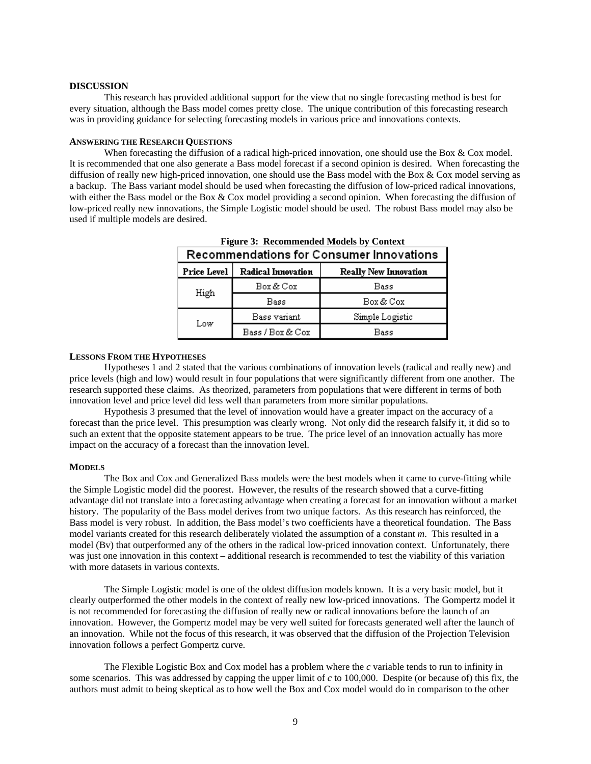#### **DISCUSSION**

This research has provided additional support for the view that no single forecasting method is best for every situation, although the Bass model comes pretty close. The unique contribution of this forecasting research was in providing guidance for selecting forecasting models in various price and innovations contexts.

#### **ANSWERING THE RESEARCH QUESTIONS**

When forecasting the diffusion of a radical high-priced innovation, one should use the Box & Cox model. It is recommended that one also generate a Bass model forecast if a second opinion is desired. When forecasting the diffusion of really new high-priced innovation, one should use the Bass model with the Box & Cox model serving as a backup. The Bass variant model should be used when forecasting the diffusion of low-priced radical innovations, with either the Bass model or the Box & Cox model providing a second opinion. When forecasting the diffusion of low-priced really new innovations, the Simple Logistic model should be used. The robust Bass model may also be used if multiple models are desired.

| Recommendations for Consumer Innovations |                    |                              |  |  |
|------------------------------------------|--------------------|------------------------------|--|--|
| Price Level                              | Radical Innovation | <b>Really New Innovation</b> |  |  |
| High                                     | Box & Cox          | Bass                         |  |  |
|                                          | Bass               | Box & Cox                    |  |  |
| Low                                      | Bass variant       | Simple Logistic              |  |  |
|                                          | Bass / Box & Cox   | Bass                         |  |  |

**Figure 3: Recommended Models by Context**

#### **LESSONS FROM THE HYPOTHESES**

Hypotheses 1 and 2 stated that the various combinations of innovation levels (radical and really new) and price levels (high and low) would result in four populations that were significantly different from one another. The research supported these claims. As theorized, parameters from populations that were different in terms of both innovation level and price level did less well than parameters from more similar populations.

Hypothesis 3 presumed that the level of innovation would have a greater impact on the accuracy of a forecast than the price level. This presumption was clearly wrong. Not only did the research falsify it, it did so to such an extent that the opposite statement appears to be true. The price level of an innovation actually has more impact on the accuracy of a forecast than the innovation level.

#### **MODELS**

The Box and Cox and Generalized Bass models were the best models when it came to curve-fitting while the Simple Logistic model did the poorest. However, the results of the research showed that a curve-fitting advantage did not translate into a forecasting advantage when creating a forecast for an innovation without a market history. The popularity of the Bass model derives from two unique factors. As this research has reinforced, the Bass model is very robust. In addition, the Bass model's two coefficients have a theoretical foundation. The Bass model variants created for this research deliberately violated the assumption of a constant *m*. This resulted in a model (Bv) that outperformed any of the others in the radical low-priced innovation context. Unfortunately, there was just one innovation in this context – additional research is recommended to test the viability of this variation with more datasets in various contexts.

The Simple Logistic model is one of the oldest diffusion models known. It is a very basic model, but it clearly outperformed the other models in the context of really new low-priced innovations. The Gompertz model it is not recommended for forecasting the diffusion of really new or radical innovations before the launch of an innovation. However, the Gompertz model may be very well suited for forecasts generated well after the launch of an innovation. While not the focus of this research, it was observed that the diffusion of the Projection Television innovation follows a perfect Gompertz curve.

The Flexible Logistic Box and Cox model has a problem where the *c* variable tends to run to infinity in some scenarios. This was addressed by capping the upper limit of *c* to 100,000. Despite (or because of) this fix, the authors must admit to being skeptical as to how well the Box and Cox model would do in comparison to the other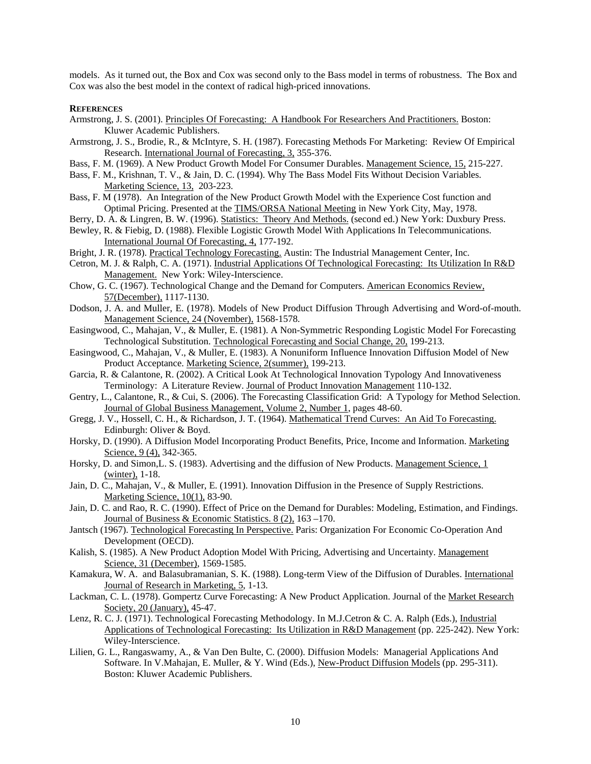models. As it turned out, the Box and Cox was second only to the Bass model in terms of robustness. The Box and Cox was also the best model in the context of radical high-priced innovations.

#### **REFERENCES**

- Armstrong, J. S. (2001). Principles Of Forecasting: A Handbook For Researchers And Practitioners. Boston: Kluwer Academic Publishers.
- Armstrong, J. S., Brodie, R., & McIntyre, S. H. (1987). Forecasting Methods For Marketing: Review Of Empirical Research. International Journal of Forecasting, 3, 355-376.
- Bass, F. M. (1969). A New Product Growth Model For Consumer Durables. Management Science, 15, 215-227.
- Bass, F. M., Krishnan, T. V., & Jain, D. C. (1994). Why The Bass Model Fits Without Decision Variables. Marketing Science, 13, 203-223.
- Bass, F. M (1978). An Integration of the New Product Growth Model with the Experience Cost function and Optimal Pricing. Presented at the TIMS/ORSA National Meeting in New York City, May, 1978.
- Berry, D. A. & Lingren, B. W. (1996). Statistics: Theory And Methods. (second ed.) New York: Duxbury Press.
- Bewley, R. & Fiebig, D. (1988). Flexible Logistic Growth Model With Applications In Telecommunications. International Journal Of Forecasting, 4, 177-192.
- Bright, J. R. (1978). Practical Technology Forecasting. Austin: The Industrial Management Center, Inc.
- Cetron, M. J. & Ralph, C. A. (1971). Industrial Applications Of Technological Forecasting: Its Utilization In R&D Management. New York: Wiley-Interscience.
- Chow, G. C. (1967). Technological Change and the Demand for Computers. American Economics Review, 57(December), 1117-1130.
- Dodson, J. A. and Muller, E. (1978). Models of New Product Diffusion Through Advertising and Word-of-mouth. Management Science, 24 (November), 1568-1578.
- Easingwood, C., Mahajan, V., & Muller, E. (1981). A Non-Symmetric Responding Logistic Model For Forecasting Technological Substitution. Technological Forecasting and Social Change, 20, 199-213.
- Easingwood, C., Mahajan, V., & Muller, E. (1983). A Nonuniform Influence Innovation Diffusion Model of New Product Acceptance. Marketing Science, 2(summer), 199-213.
- Garcia, R. & Calantone, R. (2002). A Critical Look At Technological Innovation Typology And Innovativeness Terminology: A Literature Review. Journal of Product Innovation Management 110-132.
- Gentry, L., Calantone, R., & Cui, S. (2006). The Forecasting Classification Grid: A Typology for Method Selection. Journal of Global Business Management, Volume 2, Number 1, pages 48-60.
- Gregg, J. V., Hossell, C. H., & Richardson, J. T. (1964). Mathematical Trend Curves: An Aid To Forecasting. Edinburgh: Oliver & Boyd.
- Horsky, D. (1990). A Diffusion Model Incorporating Product Benefits, Price, Income and Information. Marketing Science, 9 (4), 342-365.
- Horsky, D. and Simon,L. S. (1983). Advertising and the diffusion of New Products. Management Science, 1 (winter), 1-18.
- Jain, D. C., Mahajan, V., & Muller, E. (1991). Innovation Diffusion in the Presence of Supply Restrictions. Marketing Science, 10(1), 83-90.
- Jain, D. C. and Rao, R. C. (1990). Effect of Price on the Demand for Durables: Modeling, Estimation, and Findings. Journal of Business & Economic Statistics. 8 (2), 163 –170.
- Jantsch (1967). Technological Forecasting In Perspective. Paris: Organization For Economic Co-Operation And Development (OECD).
- Kalish, S. (1985). A New Product Adoption Model With Pricing, Advertising and Uncertainty. Management Science, 31 (December), 1569-1585.
- Kamakura, W. A. and Balasubramanian, S. K. (1988). Long-term View of the Diffusion of Durables. International Journal of Research in Marketing, 5, 1-13.
- Lackman, C. L. (1978). Gompertz Curve Forecasting: A New Product Application. Journal of the Market Research Society, 20 (January), 45-47.
- Lenz, R. C. J. (1971). Technological Forecasting Methodology. In M.J.Cetron & C. A. Ralph (Eds.), Industrial Applications of Technological Forecasting: Its Utilization in R&D Management (pp. 225-242). New York: Wiley-Interscience.
- Lilien, G. L., Rangaswamy, A., & Van Den Bulte, C. (2000). Diffusion Models: Managerial Applications And Software. In V.Mahajan, E. Muller, & Y. Wind (Eds.), New-Product Diffusion Models (pp. 295-311). Boston: Kluwer Academic Publishers.